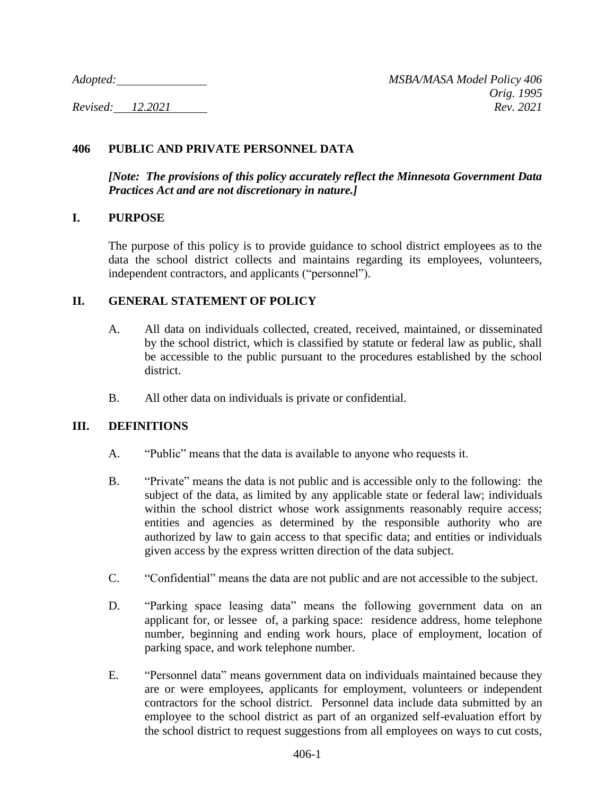# **406 PUBLIC AND PRIVATE PERSONNEL DATA**

*[Note: The provisions of this policy accurately reflect the Minnesota Government Data Practices Act and are not discretionary in nature.]* 

## **I. PURPOSE**

The purpose of this policy is to provide guidance to school district employees as to the data the school district collects and maintains regarding its employees, volunteers, independent contractors, and applicants ("personnel").

## **II. GENERAL STATEMENT OF POLICY**

- A. All data on individuals collected, created, received, maintained, or disseminated by the school district, which is classified by statute or federal law as public, shall be accessible to the public pursuant to the procedures established by the school district.
- B. All other data on individuals is private or confidential.

## **III. DEFINITIONS**

- A. "Public" means that the data is available to anyone who requests it.
- B. "Private" means the data is not public and is accessible only to the following: the subject of the data, as limited by any applicable state or federal law; individuals within the school district whose work assignments reasonably require access; entities and agencies as determined by the responsible authority who are authorized by law to gain access to that specific data; and entities or individuals given access by the express written direction of the data subject.
- C. "Confidential" means the data are not public and are not accessible to the subject.
- D. "Parking space leasing data" means the following government data on an applicant for, or lessee of, a parking space: residence address, home telephone number, beginning and ending work hours, place of employment, location of parking space, and work telephone number.
- E. "Personnel data" means government data on individuals maintained because they are or were employees, applicants for employment, volunteers or independent contractors for the school district. Personnel data include data submitted by an employee to the school district as part of an organized self-evaluation effort by the school district to request suggestions from all employees on ways to cut costs,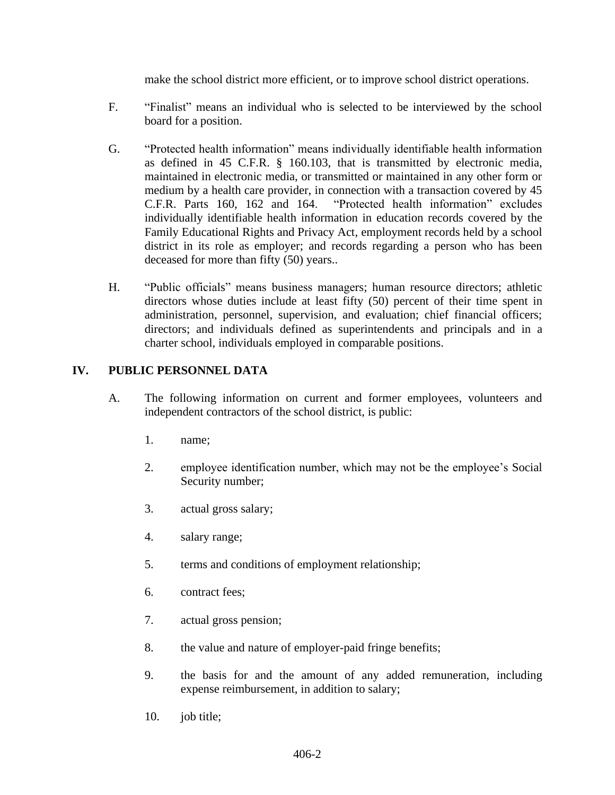make the school district more efficient, or to improve school district operations.

- F. "Finalist" means an individual who is selected to be interviewed by the school board for a position.
- G. "Protected health information" means individually identifiable health information as defined in 45 C.F.R. § 160.103, that is transmitted by electronic media, maintained in electronic media, or transmitted or maintained in any other form or medium by a health care provider, in connection with a transaction covered by 45 C.F.R. Parts 160, 162 and 164. "Protected health information" excludes individually identifiable health information in education records covered by the Family Educational Rights and Privacy Act, employment records held by a school district in its role as employer; and records regarding a person who has been deceased for more than fifty (50) years..
- H. "Public officials" means business managers; human resource directors; athletic directors whose duties include at least fifty (50) percent of their time spent in administration, personnel, supervision, and evaluation; chief financial officers; directors; and individuals defined as superintendents and principals and in a charter school, individuals employed in comparable positions.

## **IV. PUBLIC PERSONNEL DATA**

- A. The following information on current and former employees, volunteers and independent contractors of the school district, is public:
	- 1. name;
	- 2. employee identification number, which may not be the employee's Social Security number;
	- 3. actual gross salary;
	- 4. salary range;
	- 5. terms and conditions of employment relationship;
	- 6. contract fees;
	- 7. actual gross pension;
	- 8. the value and nature of employer-paid fringe benefits;
	- 9. the basis for and the amount of any added remuneration, including expense reimbursement, in addition to salary;
	- 10. job title;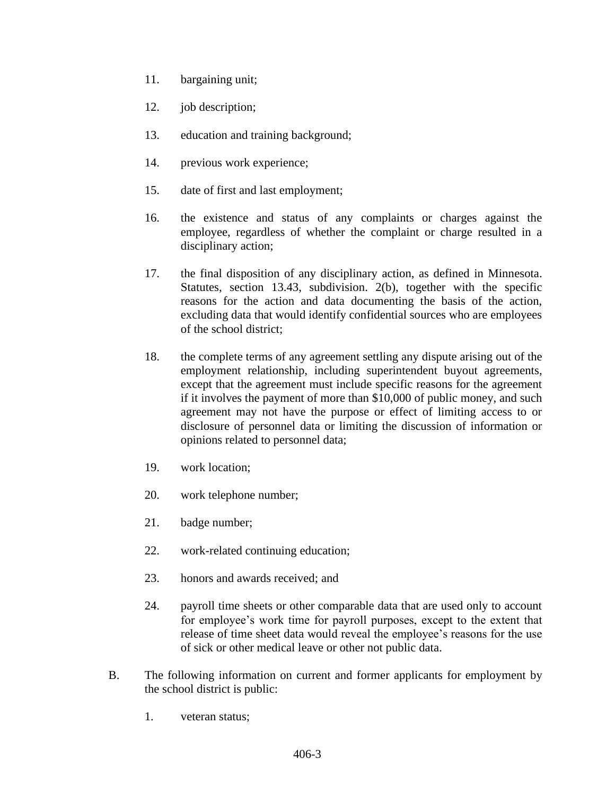- 11. bargaining unit;
- 12. job description;
- 13. education and training background;
- 14. previous work experience;
- 15. date of first and last employment;
- 16. the existence and status of any complaints or charges against the employee, regardless of whether the complaint or charge resulted in a disciplinary action;
- 17. the final disposition of any disciplinary action, as defined in Minnesota. Statutes, section 13.43, subdivision. 2(b), together with the specific reasons for the action and data documenting the basis of the action, excluding data that would identify confidential sources who are employees of the school district;
- 18. the complete terms of any agreement settling any dispute arising out of the employment relationship, including superintendent buyout agreements, except that the agreement must include specific reasons for the agreement if it involves the payment of more than \$10,000 of public money, and such agreement may not have the purpose or effect of limiting access to or disclosure of personnel data or limiting the discussion of information or opinions related to personnel data;
- 19. work location;
- 20. work telephone number;
- 21. badge number;
- 22. work-related continuing education;
- 23. honors and awards received; and
- 24. payroll time sheets or other comparable data that are used only to account for employee's work time for payroll purposes, except to the extent that release of time sheet data would reveal the employee's reasons for the use of sick or other medical leave or other not public data.
- B. The following information on current and former applicants for employment by the school district is public:
	- 1. veteran status;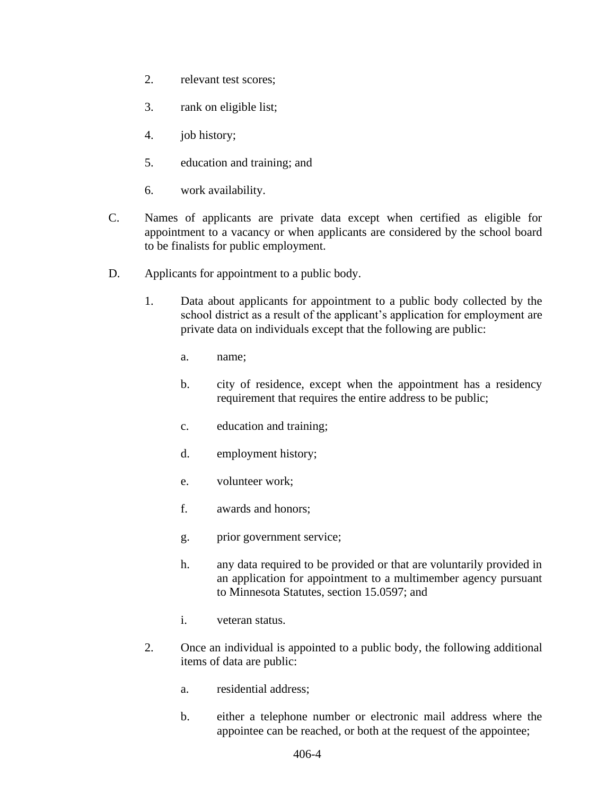- 2. relevant test scores;
- 3. rank on eligible list;
- 4. job history;
- 5. education and training; and
- 6. work availability.
- C. Names of applicants are private data except when certified as eligible for appointment to a vacancy or when applicants are considered by the school board to be finalists for public employment.
- D. Applicants for appointment to a public body.
	- 1. Data about applicants for appointment to a public body collected by the school district as a result of the applicant's application for employment are private data on individuals except that the following are public:
		- a. name;
		- b. city of residence, except when the appointment has a residency requirement that requires the entire address to be public;
		- c. education and training;
		- d. employment history;
		- e. volunteer work;
		- f. awards and honors;
		- g. prior government service;
		- h. any data required to be provided or that are voluntarily provided in an application for appointment to a multimember agency pursuant to Minnesota Statutes, section 15.0597; and
		- i. veteran status.
	- 2. Once an individual is appointed to a public body, the following additional items of data are public:
		- a. residential address;
		- b. either a telephone number or electronic mail address where the appointee can be reached, or both at the request of the appointee;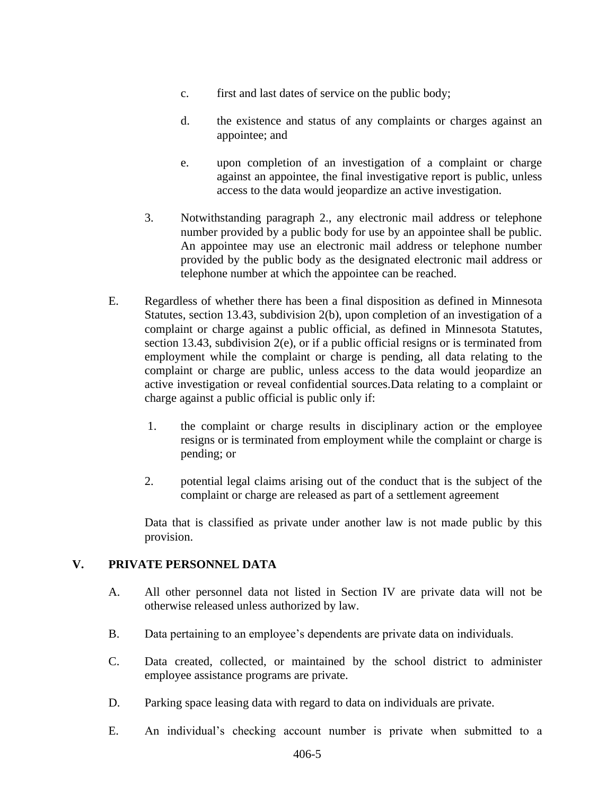- c. first and last dates of service on the public body;
- d. the existence and status of any complaints or charges against an appointee; and
- e. upon completion of an investigation of a complaint or charge against an appointee, the final investigative report is public, unless access to the data would jeopardize an active investigation.
- 3. Notwithstanding paragraph 2., any electronic mail address or telephone number provided by a public body for use by an appointee shall be public. An appointee may use an electronic mail address or telephone number provided by the public body as the designated electronic mail address or telephone number at which the appointee can be reached.
- E. Regardless of whether there has been a final disposition as defined in Minnesota Statutes, section 13.43, subdivision 2(b), upon completion of an investigation of a complaint or charge against a public official, as defined in Minnesota Statutes, section 13.43, subdivision 2(e), or if a public official resigns or is terminated from employment while the complaint or charge is pending, all data relating to the complaint or charge are public, unless access to the data would jeopardize an active investigation or reveal confidential sources.Data relating to a complaint or charge against a public official is public only if:
	- 1. the complaint or charge results in disciplinary action or the employee resigns or is terminated from employment while the complaint or charge is pending; or
	- 2. potential legal claims arising out of the conduct that is the subject of the complaint or charge are released as part of a settlement agreement

Data that is classified as private under another law is not made public by this provision.

#### **V. PRIVATE PERSONNEL DATA**

- A. All other personnel data not listed in Section IV are private data will not be otherwise released unless authorized by law.
- B. Data pertaining to an employee's dependents are private data on individuals.
- C. Data created, collected, or maintained by the school district to administer employee assistance programs are private.
- D. Parking space leasing data with regard to data on individuals are private.
- E. An individual's checking account number is private when submitted to a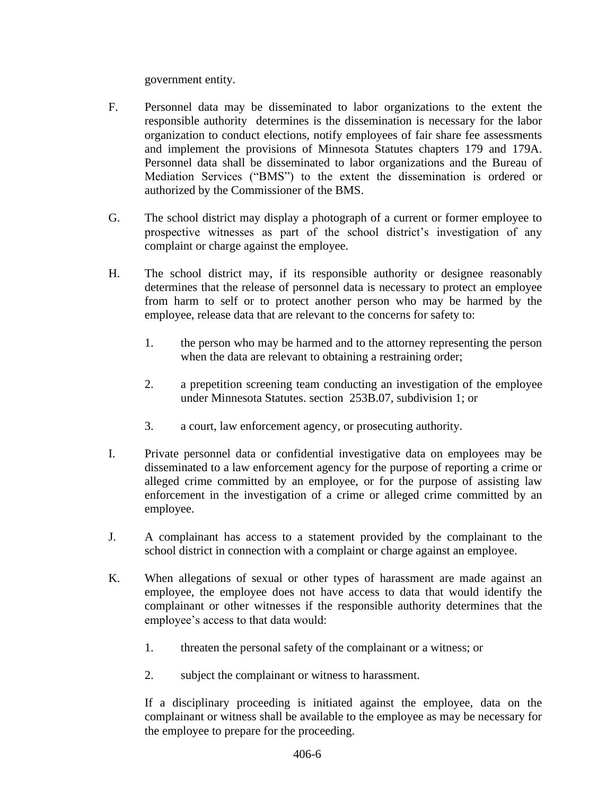government entity.

- F. Personnel data may be disseminated to labor organizations to the extent the responsible authority determines is the dissemination is necessary for the labor organization to conduct elections, notify employees of fair share fee assessments and implement the provisions of Minnesota Statutes chapters 179 and 179A. Personnel data shall be disseminated to labor organizations and the Bureau of Mediation Services ("BMS") to the extent the dissemination is ordered or authorized by the Commissioner of the BMS.
- G. The school district may display a photograph of a current or former employee to prospective witnesses as part of the school district's investigation of any complaint or charge against the employee.
- H. The school district may, if its responsible authority or designee reasonably determines that the release of personnel data is necessary to protect an employee from harm to self or to protect another person who may be harmed by the employee, release data that are relevant to the concerns for safety to:
	- 1. the person who may be harmed and to the attorney representing the person when the data are relevant to obtaining a restraining order;
	- 2. a prepetition screening team conducting an investigation of the employee under Minnesota Statutes. section 253B.07, subdivision 1; or
	- 3. a court, law enforcement agency, or prosecuting authority.
- I. Private personnel data or confidential investigative data on employees may be disseminated to a law enforcement agency for the purpose of reporting a crime or alleged crime committed by an employee, or for the purpose of assisting law enforcement in the investigation of a crime or alleged crime committed by an employee.
- J. A complainant has access to a statement provided by the complainant to the school district in connection with a complaint or charge against an employee.
- K. When allegations of sexual or other types of harassment are made against an employee, the employee does not have access to data that would identify the complainant or other witnesses if the responsible authority determines that the employee's access to that data would:
	- 1. threaten the personal safety of the complainant or a witness; or
	- 2. subject the complainant or witness to harassment.

If a disciplinary proceeding is initiated against the employee, data on the complainant or witness shall be available to the employee as may be necessary for the employee to prepare for the proceeding.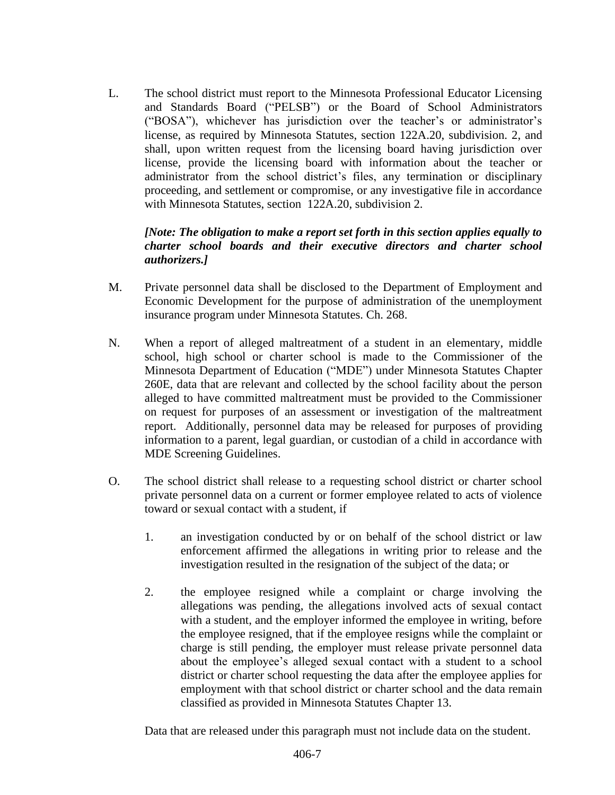L. The school district must report to the Minnesota Professional Educator Licensing and Standards Board ("PELSB") or the Board of School Administrators ("BOSA"), whichever has jurisdiction over the teacher's or administrator's license, as required by Minnesota Statutes, section 122A.20, subdivision. 2, and shall, upon written request from the licensing board having jurisdiction over license, provide the licensing board with information about the teacher or administrator from the school district's files, any termination or disciplinary proceeding, and settlement or compromise, or any investigative file in accordance with Minnesota Statutes, section 122A.20, subdivision 2.

## *[Note: The obligation to make a report set forth in this section applies equally to charter school boards and their executive directors and charter school authorizers.]*

- M. Private personnel data shall be disclosed to the Department of Employment and Economic Development for the purpose of administration of the unemployment insurance program under Minnesota Statutes. Ch. 268.
- N. When a report of alleged maltreatment of a student in an elementary, middle school, high school or charter school is made to the Commissioner of the Minnesota Department of Education ("MDE") under Minnesota Statutes Chapter 260E, data that are relevant and collected by the school facility about the person alleged to have committed maltreatment must be provided to the Commissioner on request for purposes of an assessment or investigation of the maltreatment report. Additionally, personnel data may be released for purposes of providing information to a parent, legal guardian, or custodian of a child in accordance with MDE Screening Guidelines.
- O. The school district shall release to a requesting school district or charter school private personnel data on a current or former employee related to acts of violence toward or sexual contact with a student, if
	- 1. an investigation conducted by or on behalf of the school district or law enforcement affirmed the allegations in writing prior to release and the investigation resulted in the resignation of the subject of the data; or
	- 2. the employee resigned while a complaint or charge involving the allegations was pending, the allegations involved acts of sexual contact with a student, and the employer informed the employee in writing, before the employee resigned, that if the employee resigns while the complaint or charge is still pending, the employer must release private personnel data about the employee's alleged sexual contact with a student to a school district or charter school requesting the data after the employee applies for employment with that school district or charter school and the data remain classified as provided in Minnesota Statutes Chapter 13.

Data that are released under this paragraph must not include data on the student.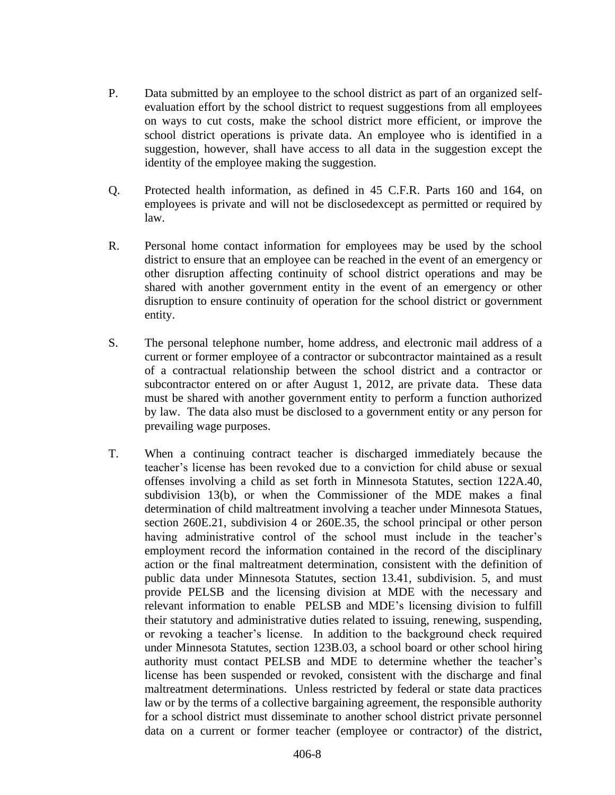- P. Data submitted by an employee to the school district as part of an organized selfevaluation effort by the school district to request suggestions from all employees on ways to cut costs, make the school district more efficient, or improve the school district operations is private data. An employee who is identified in a suggestion, however, shall have access to all data in the suggestion except the identity of the employee making the suggestion.
- Q. Protected health information, as defined in 45 C.F.R. Parts 160 and 164, on employees is private and will not be disclosedexcept as permitted or required by law.
- R. Personal home contact information for employees may be used by the school district to ensure that an employee can be reached in the event of an emergency or other disruption affecting continuity of school district operations and may be shared with another government entity in the event of an emergency or other disruption to ensure continuity of operation for the school district or government entity.
- S. The personal telephone number, home address, and electronic mail address of a current or former employee of a contractor or subcontractor maintained as a result of a contractual relationship between the school district and a contractor or subcontractor entered on or after August 1, 2012, are private data. These data must be shared with another government entity to perform a function authorized by law. The data also must be disclosed to a government entity or any person for prevailing wage purposes.
- T. When a continuing contract teacher is discharged immediately because the teacher's license has been revoked due to a conviction for child abuse or sexual offenses involving a child as set forth in Minnesota Statutes, section 122A.40, subdivision 13(b), or when the Commissioner of the MDE makes a final determination of child maltreatment involving a teacher under Minnesota Statues, section 260E.21, subdivision 4 or 260E.35, the school principal or other person having administrative control of the school must include in the teacher's employment record the information contained in the record of the disciplinary action or the final maltreatment determination, consistent with the definition of public data under Minnesota Statutes, section 13.41, subdivision. 5, and must provide PELSB and the licensing division at MDE with the necessary and relevant information to enable PELSB and MDE's licensing division to fulfill their statutory and administrative duties related to issuing, renewing, suspending, or revoking a teacher's license. In addition to the background check required under Minnesota Statutes, section 123B.03, a school board or other school hiring authority must contact PELSB and MDE to determine whether the teacher's license has been suspended or revoked, consistent with the discharge and final maltreatment determinations. Unless restricted by federal or state data practices law or by the terms of a collective bargaining agreement, the responsible authority for a school district must disseminate to another school district private personnel data on a current or former teacher (employee or contractor) of the district,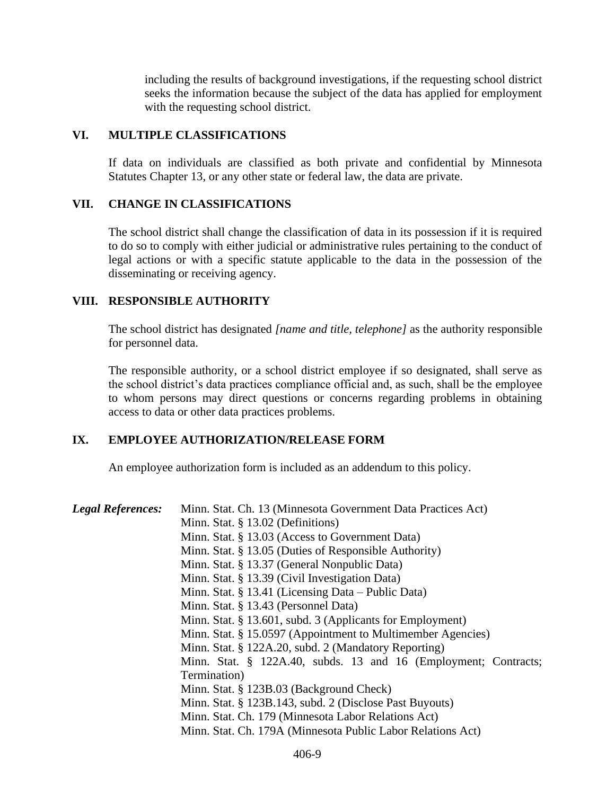including the results of background investigations, if the requesting school district seeks the information because the subject of the data has applied for employment with the requesting school district.

#### **VI. MULTIPLE CLASSIFICATIONS**

If data on individuals are classified as both private and confidential by Minnesota Statutes Chapter 13, or any other state or federal law, the data are private.

#### **VII. CHANGE IN CLASSIFICATIONS**

The school district shall change the classification of data in its possession if it is required to do so to comply with either judicial or administrative rules pertaining to the conduct of legal actions or with a specific statute applicable to the data in the possession of the disseminating or receiving agency.

#### **VIII. RESPONSIBLE AUTHORITY**

The school district has designated *[name and title, telephone]* as the authority responsible for personnel data.

The responsible authority, or a school district employee if so designated, shall serve as the school district's data practices compliance official and, as such, shall be the employee to whom persons may direct questions or concerns regarding problems in obtaining access to data or other data practices problems.

## **IX. EMPLOYEE AUTHORIZATION/RELEASE FORM**

An employee authorization form is included as an addendum to this policy.

| <b>Legal References:</b> | Minn. Stat. Ch. 13 (Minnesota Government Data Practices Act)    |
|--------------------------|-----------------------------------------------------------------|
|                          | Minn. Stat. § 13.02 (Definitions)                               |
|                          | Minn. Stat. § 13.03 (Access to Government Data)                 |
|                          | Minn. Stat. § 13.05 (Duties of Responsible Authority)           |
|                          | Minn. Stat. § 13.37 (General Nonpublic Data)                    |
|                          | Minn. Stat. § 13.39 (Civil Investigation Data)                  |
|                          | Minn. Stat. § 13.41 (Licensing Data – Public Data)              |
|                          | Minn. Stat. § 13.43 (Personnel Data)                            |
|                          | Minn. Stat. § 13.601, subd. 3 (Applicants for Employment)       |
|                          | Minn. Stat. § 15.0597 (Appointment to Multimember Agencies)     |
|                          | Minn. Stat. § 122A.20, subd. 2 (Mandatory Reporting)            |
|                          | Minn. Stat. § 122A.40, subds. 13 and 16 (Employment; Contracts; |
|                          | Termination)                                                    |
|                          | Minn. Stat. § 123B.03 (Background Check)                        |
|                          | Minn. Stat. § 123B.143, subd. 2 (Disclose Past Buyouts)         |
|                          | Minn. Stat. Ch. 179 (Minnesota Labor Relations Act)             |
|                          | Minn. Stat. Ch. 179A (Minnesota Public Labor Relations Act)     |
|                          |                                                                 |